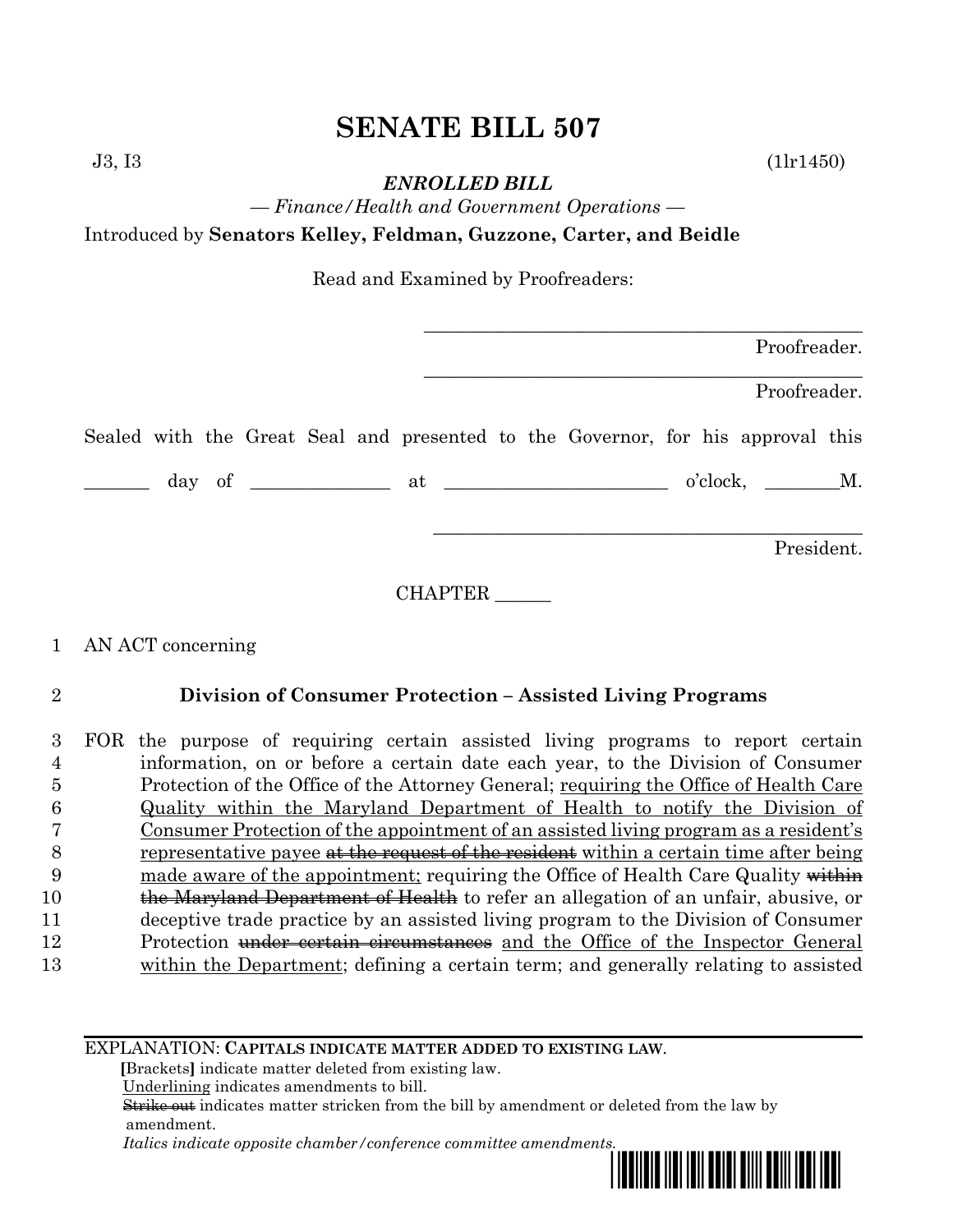# **SENATE BILL 507**

J3, I3 (1lr1450)

*ENROLLED BILL*

*— Finance/Health and Government Operations —* Introduced by **Senators Kelley, Feldman, Guzzone, Carter, and Beidle**

Read and Examined by Proofreaders:

| Proofreader.                                                                    |
|---------------------------------------------------------------------------------|
| Proofreader.                                                                    |
| Sealed with the Great Seal and presented to the Governor, for his approval this |
| $o'clock, \t M.$                                                                |
| President.                                                                      |

CHAPTER \_\_\_\_\_\_

## 1 AN ACT concerning

## 2 **Division of Consumer Protection – Assisted Living Programs**

|    | FOR the purpose of requiring certain assisted living programs to report certain       |
|----|---------------------------------------------------------------------------------------|
|    | information, on or before a certain date each year, to the Division of Consumer       |
| Ð  | Protection of the Office of the Attorney General; requiring the Office of Health Care |
|    | Quality within the Maryland Department of Health to notify the Division of            |
|    | Consumer Protection of the appointment of an assisted living program as a resident's  |
| 8  | representative payee at the request of the resident within a certain time after being |
| 9  | made aware of the appointment; requiring the Office of Health Care Quality within     |
| 10 | the Maryland Department of Health to refer an allegation of an unfair, abusive, or    |
| 11 | deceptive trade practice by an assisted living program to the Division of Consumer    |
| 12 | Protection under certain circumstances and the Office of the Inspector General        |
| 13 | within the Department; defining a certain term; and generally relating to assisted    |
|    |                                                                                       |

EXPLANATION: **CAPITALS INDICATE MATTER ADDED TO EXISTING LAW**.

 **[**Brackets**]** indicate matter deleted from existing law.

Underlining indicates amendments to bill.

 Strike out indicates matter stricken from the bill by amendment or deleted from the law by amendment.

 *Italics indicate opposite chamber/conference committee amendments.*

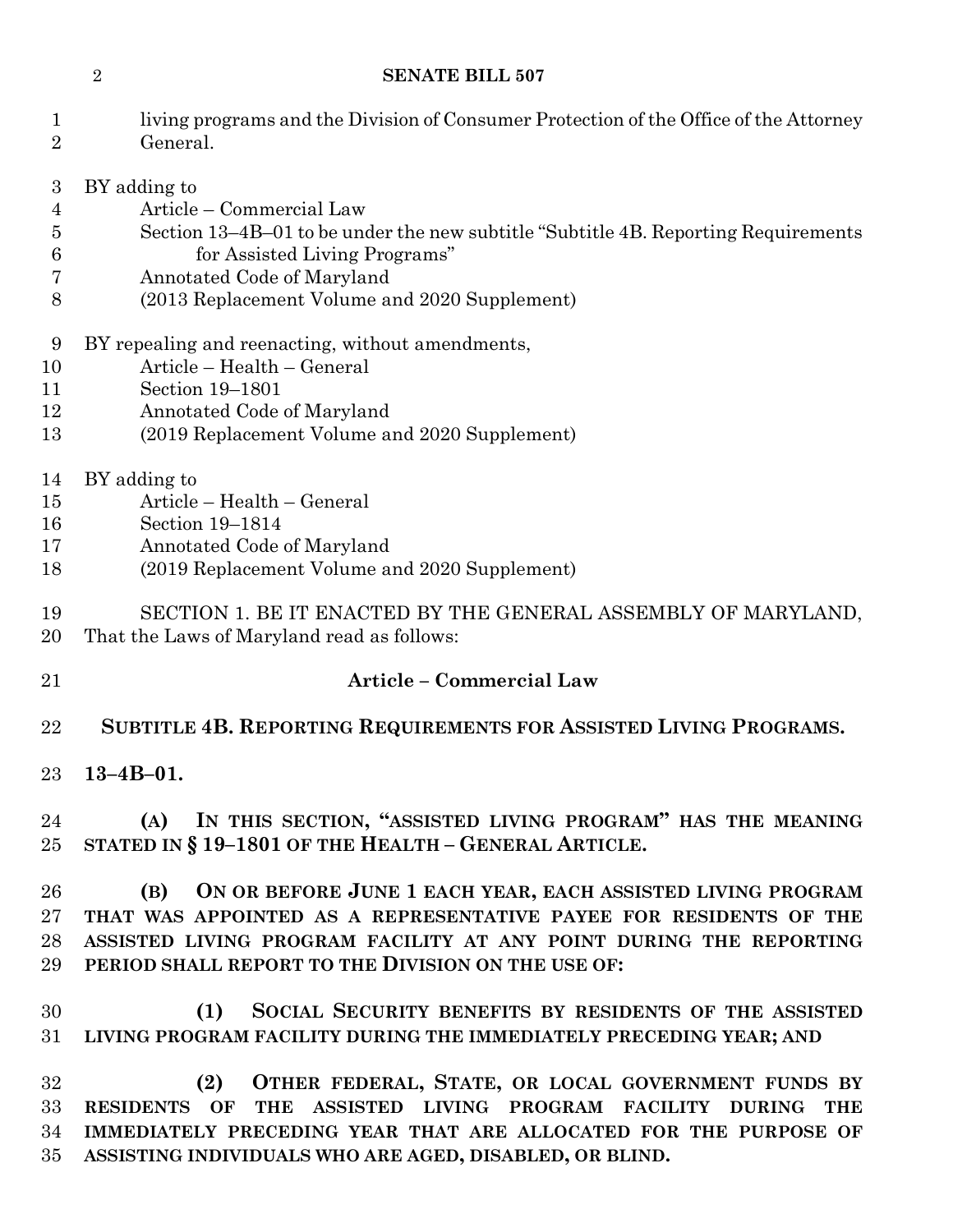#### **SENATE BILL 507**

| $\mathbf{1}$<br>$\overline{2}$ | living programs and the Division of Consumer Protection of the Office of the Attorney<br>General. |  |  |  |  |
|--------------------------------|---------------------------------------------------------------------------------------------------|--|--|--|--|
| 3                              | BY adding to                                                                                      |  |  |  |  |
| 4                              | Article – Commercial Law                                                                          |  |  |  |  |
| 5                              | Section 13-4B-01 to be under the new subtitle "Subtitle 4B. Reporting Requirements                |  |  |  |  |
| 6                              | for Assisted Living Programs"                                                                     |  |  |  |  |
| 7                              | Annotated Code of Maryland                                                                        |  |  |  |  |
| 8                              | (2013 Replacement Volume and 2020 Supplement)                                                     |  |  |  |  |
| 9                              | BY repealing and reenacting, without amendments,                                                  |  |  |  |  |
| 10                             | Article - Health - General                                                                        |  |  |  |  |
| 11                             | Section 19-1801                                                                                   |  |  |  |  |
| 12                             | Annotated Code of Maryland                                                                        |  |  |  |  |
| 13                             | (2019 Replacement Volume and 2020 Supplement)                                                     |  |  |  |  |
| 14                             | BY adding to                                                                                      |  |  |  |  |
| 15                             | Article – Health – General                                                                        |  |  |  |  |
| 16                             | Section 19-1814                                                                                   |  |  |  |  |
| 17                             | Annotated Code of Maryland                                                                        |  |  |  |  |
| 18                             | (2019 Replacement Volume and 2020 Supplement)                                                     |  |  |  |  |
| 19                             | SECTION 1. BE IT ENACTED BY THE GENERAL ASSEMBLY OF MARYLAND,                                     |  |  |  |  |
| 20                             | That the Laws of Maryland read as follows:                                                        |  |  |  |  |
| 21                             | <b>Article - Commercial Law</b>                                                                   |  |  |  |  |
| 22                             | SUBTITLE 4B. REPORTING REQUIREMENTS FOR ASSISTED LIVING PROGRAMS.                                 |  |  |  |  |
| 23                             | $13 - 4B - 01$ .                                                                                  |  |  |  |  |
| 24                             | (A) IN THIS SECTION, "ASSISTED LIVING PROGRAM" HAS THE MEANING                                    |  |  |  |  |
| 25                             | STATED IN § 19-1801 OF THE HEALTH - GENERAL ARTICLE.                                              |  |  |  |  |
| 26                             | ON OR BEFORE JUNE 1 EACH YEAR, EACH ASSISTED LIVING PROGRAM<br>(B)                                |  |  |  |  |
| 27                             | THAT WAS APPOINTED AS A REPRESENTATIVE PAYEE FOR RESIDENTS OF THE                                 |  |  |  |  |
| 28                             | ASSISTED LIVING PROGRAM FACILITY AT ANY POINT DURING THE REPORTING                                |  |  |  |  |
| 29                             | PERIOD SHALL REPORT TO THE DIVISION ON THE USE OF:                                                |  |  |  |  |
| 30                             | SOCIAL SECURITY BENEFITS BY RESIDENTS OF THE ASSISTED<br>(1)                                      |  |  |  |  |
| 31                             | LIVING PROGRAM FACILITY DURING THE IMMEDIATELY PRECEDING YEAR; AND                                |  |  |  |  |
| 32                             | (2)<br>OTHER FEDERAL, STATE, OR LOCAL GOVERNMENT FUNDS BY                                         |  |  |  |  |
| 33                             | <b>THE</b><br>ASSISTED LIVING PROGRAM FACILITY DURING THE<br>RESIDENTS OF                         |  |  |  |  |
| 34                             | IMMEDIATELY PRECEDING YEAR THAT ARE ALLOCATED FOR THE PURPOSE OF                                  |  |  |  |  |
| 35                             | ASSISTING INDIVIDUALS WHO ARE AGED, DISABLED, OR BLIND.                                           |  |  |  |  |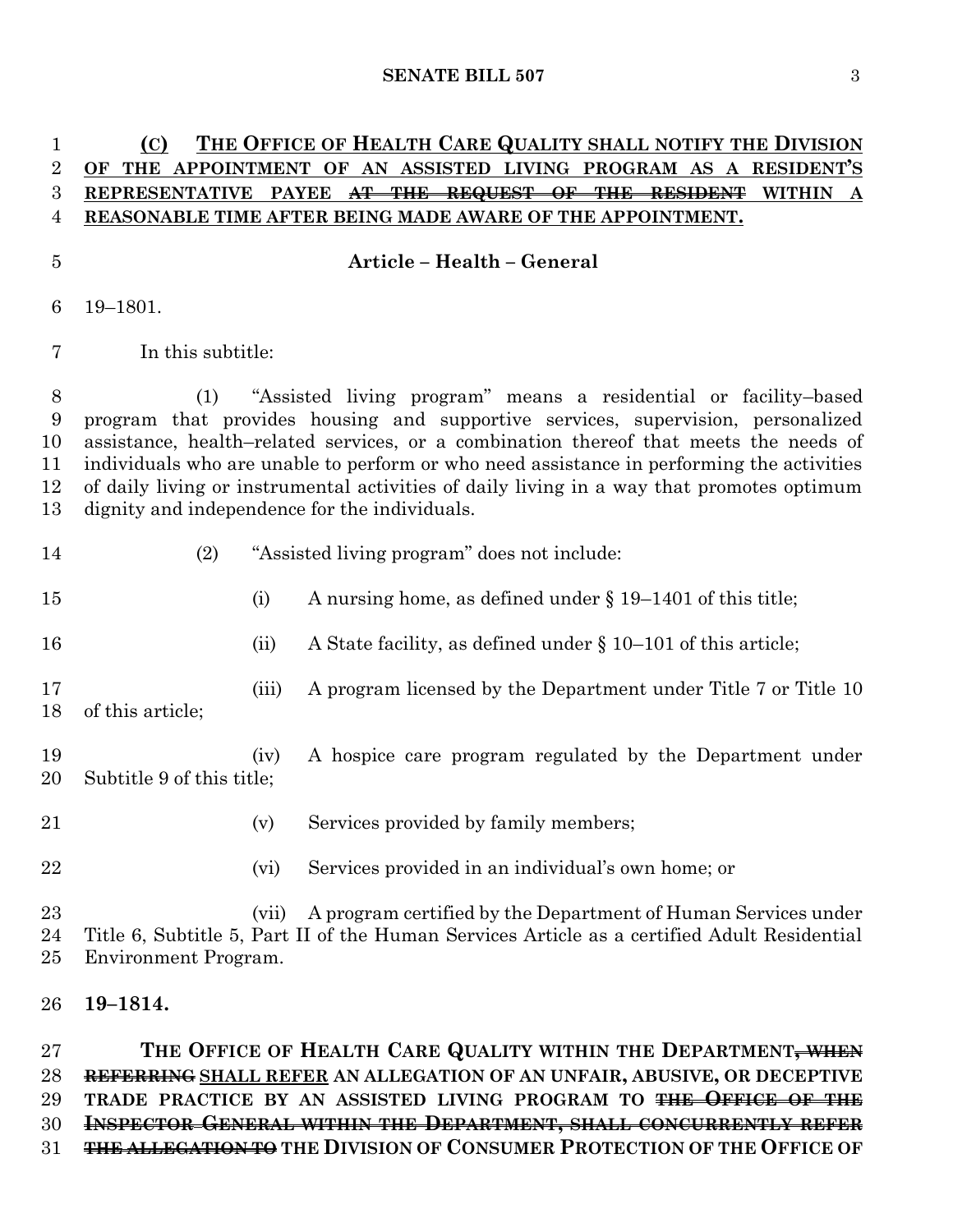| 1<br>$\overline{2}$<br>3<br>4  | (C)<br>THE                                                                                                                                                                                                                                                                                                                                                                                                                                                                                     |       | THE OFFICE OF HEALTH CARE QUALITY SHALL NOTIFY THE DIVISION<br>APPOINTMENT OF AN ASSISTED LIVING PROGRAM AS A RESIDENT'S<br>REPRESENTATIVE PAYEE <del>AT THE REQUEST OF THE RESIDENT</del><br><b>WITHIN</b><br>REASONABLE TIME AFTER BEING MADE AWARE OF THE APPOINTMENT. |  |  |
|--------------------------------|------------------------------------------------------------------------------------------------------------------------------------------------------------------------------------------------------------------------------------------------------------------------------------------------------------------------------------------------------------------------------------------------------------------------------------------------------------------------------------------------|-------|---------------------------------------------------------------------------------------------------------------------------------------------------------------------------------------------------------------------------------------------------------------------------|--|--|
| $\bf 5$                        |                                                                                                                                                                                                                                                                                                                                                                                                                                                                                                |       | Article - Health - General                                                                                                                                                                                                                                                |  |  |
| 6                              | 19-1801.                                                                                                                                                                                                                                                                                                                                                                                                                                                                                       |       |                                                                                                                                                                                                                                                                           |  |  |
| 7                              | In this subtitle:                                                                                                                                                                                                                                                                                                                                                                                                                                                                              |       |                                                                                                                                                                                                                                                                           |  |  |
| 8<br>9<br>10<br>11<br>12<br>13 | "Assisted living program" means a residential or facility-based<br>(1)<br>program that provides housing and supportive services, supervision, personalized<br>assistance, health-related services, or a combination thereof that meets the needs of<br>individuals who are unable to perform or who need assistance in performing the activities<br>of daily living or instrumental activities of daily living in a way that promotes optimum<br>dignity and independence for the individuals. |       |                                                                                                                                                                                                                                                                           |  |  |
| 14                             | (2)                                                                                                                                                                                                                                                                                                                                                                                                                                                                                            |       | "Assisted living program" does not include:                                                                                                                                                                                                                               |  |  |
| 15                             |                                                                                                                                                                                                                                                                                                                                                                                                                                                                                                | (i)   | A nursing home, as defined under $\S 19-1401$ of this title;                                                                                                                                                                                                              |  |  |
| 16                             |                                                                                                                                                                                                                                                                                                                                                                                                                                                                                                | (ii)  | A State facility, as defined under $\S 10-101$ of this article;                                                                                                                                                                                                           |  |  |
| 17<br>18                       | of this article;                                                                                                                                                                                                                                                                                                                                                                                                                                                                               | (iii) | A program licensed by the Department under Title 7 or Title 10                                                                                                                                                                                                            |  |  |
| 19<br>20                       | Subtitle 9 of this title;                                                                                                                                                                                                                                                                                                                                                                                                                                                                      | (iv)  | A hospice care program regulated by the Department under                                                                                                                                                                                                                  |  |  |
| 21                             |                                                                                                                                                                                                                                                                                                                                                                                                                                                                                                | (v)   | Services provided by family members;                                                                                                                                                                                                                                      |  |  |
| 22                             |                                                                                                                                                                                                                                                                                                                                                                                                                                                                                                | (vi)  | Services provided in an individual's own home; or                                                                                                                                                                                                                         |  |  |
| 23<br>24<br>25                 | Environment Program.                                                                                                                                                                                                                                                                                                                                                                                                                                                                           | (vii) | A program certified by the Department of Human Services under<br>Title 6, Subtitle 5, Part II of the Human Services Article as a certified Adult Residential                                                                                                              |  |  |
|                                |                                                                                                                                                                                                                                                                                                                                                                                                                                                                                                |       |                                                                                                                                                                                                                                                                           |  |  |

#### **19–1814.**

 **THE OFFICE OF HEALTH CARE QUALITY WITHIN THE DEPARTMENT, WHEN REFERRING SHALL REFER AN ALLEGATION OF AN UNFAIR, ABUSIVE, OR DECEPTIVE TRADE PRACTICE BY AN ASSISTED LIVING PROGRAM TO THE OFFICE OF THE INSPECTOR GENERAL WITHIN THE DEPARTMENT, SHALL CONCURRENTLY REFER THE ALLEGATION TO THE DIVISION OF CONSUMER PROTECTION OF THE OFFICE OF**